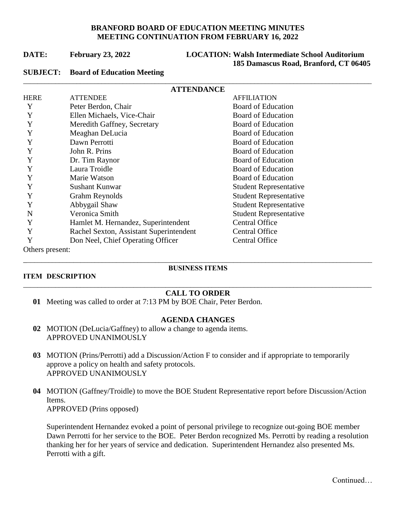## **BRANFORD BOARD OF EDUCATION MEETING MINUTES MEETING CONTINUATION FROM FEBRUARY 16, 2022**

\_\_\_\_\_\_\_\_\_\_\_\_\_\_\_\_\_\_\_\_\_\_\_\_\_\_\_\_\_\_\_\_\_\_\_\_\_\_\_\_\_\_\_\_\_\_\_\_\_\_\_\_\_\_\_\_\_\_\_\_\_\_\_\_\_\_\_\_\_\_\_\_\_\_\_\_\_\_\_\_\_\_\_\_\_\_\_\_\_\_\_\_\_\_\_\_\_\_

## **DATE: February 23, 2022 LOCATION: Walsh Intermediate School Auditorium 185 Damascus Road, Branford, CT 06405**

#### **SUBJECT: Board of Education Meeting**

| <b>ATTENDANCE</b> |                                         |                               |
|-------------------|-----------------------------------------|-------------------------------|
| <b>HERE</b>       | <b>ATTENDEE</b>                         | <b>AFFILIATION</b>            |
| Y                 | Peter Berdon, Chair                     | <b>Board of Education</b>     |
| Y                 | Ellen Michaels, Vice-Chair              | <b>Board of Education</b>     |
|                   | Meredith Gaffney, Secretary             | <b>Board of Education</b>     |
|                   | Meaghan DeLucia                         | <b>Board of Education</b>     |
|                   | Dawn Perrotti                           | <b>Board of Education</b>     |
|                   | John R. Prins                           | <b>Board of Education</b>     |
|                   | Dr. Tim Raynor                          | <b>Board of Education</b>     |
| Y                 | Laura Troidle                           | <b>Board of Education</b>     |
| Y                 | Marie Watson                            | <b>Board of Education</b>     |
| Y                 | Sushant Kunwar                          | <b>Student Representative</b> |
| Y                 | Grahm Reynolds                          | <b>Student Representative</b> |
| Y                 | Abbygail Shaw                           | <b>Student Representative</b> |
| N                 | Veronica Smith                          | <b>Student Representative</b> |
| Y                 | Hamlet M. Hernandez, Superintendent     | <b>Central Office</b>         |
| Y                 | Rachel Sexton, Assistant Superintendent | <b>Central Office</b>         |
| Y                 | Don Neel, Chief Operating Officer       | <b>Central Office</b>         |
| Others present:   |                                         |                               |

#### **ITEM DESCRIPTION**

## \_\_\_\_\_\_\_\_\_\_\_\_\_\_\_\_\_\_\_\_\_\_\_\_\_\_\_\_\_\_\_\_\_\_\_\_\_\_\_\_\_\_\_\_\_\_\_\_\_\_\_\_\_\_\_\_\_\_\_\_\_\_\_\_\_\_\_\_\_\_\_\_\_\_\_\_\_\_\_\_\_\_\_\_\_\_\_\_\_\_\_\_\_\_\_\_\_\_ **BUSINESS ITEMS**

#### \_\_\_\_\_\_\_\_\_\_\_\_\_\_\_\_\_\_\_\_\_\_\_\_\_\_\_\_\_\_\_\_\_\_\_\_\_\_\_\_\_\_\_\_\_\_\_\_\_\_\_\_\_\_\_\_\_\_\_\_\_\_\_\_\_\_\_\_\_\_\_\_\_\_\_\_\_\_\_\_\_\_\_\_\_\_\_\_\_\_\_\_\_\_\_\_\_\_ **CALL TO ORDER**

**01** Meeting was called to order at 7:13 PM by BOE Chair, Peter Berdon.

#### **AGENDA CHANGES**

- **02** MOTION (DeLucia/Gaffney) to allow a change to agenda items. APPROVED UNANIMOUSLY
- **03** MOTION (Prins/Perrotti) add a Discussion/Action F to consider and if appropriate to temporarily approve a policy on health and safety protocols. APPROVED UNANIMOUSLY
- **04** MOTION (Gaffney/Troidle) to move the BOE Student Representative report before Discussion/Action Items. APPROVED (Prins opposed)

Superintendent Hernandez evoked a point of personal privilege to recognize out-going BOE member Dawn Perrotti for her service to the BOE. Peter Berdon recognized Ms. Perrotti by reading a resolution thanking her for her years of service and dedication. Superintendent Hernandez also presented Ms. Perrotti with a gift.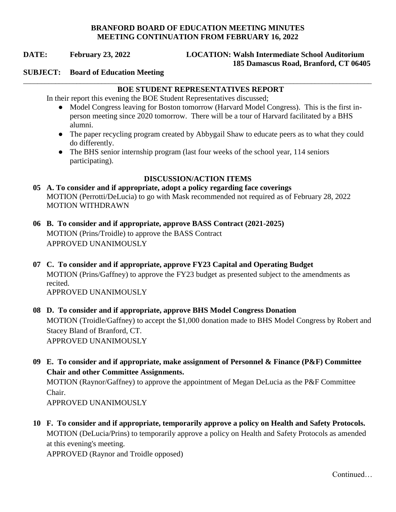## **BRANFORD BOARD OF EDUCATION MEETING MINUTES MEETING CONTINUATION FROM FEBRUARY 16, 2022**

## **DATE: February 23, 2022 LOCATION: Walsh Intermediate School Auditorium 185 Damascus Road, Branford, CT 06405**

#### **SUBJECT: Board of Education Meeting**

### \_\_\_\_\_\_\_\_\_\_\_\_\_\_\_\_\_\_\_\_\_\_\_\_\_\_\_\_\_\_\_\_\_\_\_\_\_\_\_\_\_\_\_\_\_\_\_\_\_\_\_\_\_\_\_\_\_\_\_\_\_\_\_\_\_\_\_\_\_\_\_\_\_\_\_\_\_\_\_\_\_\_\_\_\_\_\_\_\_\_\_\_\_\_\_\_\_\_ **BOE STUDENT REPRESENTATIVES REPORT**

In their report this evening the BOE Student Representatives discussed;

- Model Congress leaving for Boston tomorrow (Harvard Model Congress). This is the first inperson meeting since 2020 tomorrow. There will be a tour of Harvard facilitated by a BHS alumni.
- The paper recycling program created by Abbygail Shaw to educate peers as to what they could do differently.
- The BHS senior internship program (last four weeks of the school year, 114 seniors participating).

## **DISCUSSION/ACTION ITEMS**

## **05 A. To consider and if appropriate, adopt a policy regarding face coverings** MOTION (Perrotti/DeLucia) to go with Mask recommended not required as of February 28, 2022 MOTION WITHDRAWN

- **06 B. To consider and if appropriate, approve BASS Contract (2021-2025)** MOTION (Prins/Troidle) to approve the BASS Contract APPROVED UNANIMOUSLY
- **07 C. To consider and if appropriate, approve FY23 Capital and Operating Budget** MOTION (Prins/Gaffney) to approve the FY23 budget as presented subject to the amendments as recited. APPROVED UNANIMOUSLY

# **08 D. To consider and if appropriate, approve BHS Model Congress Donation** MOTION (Troidle/Gaffney) to accept the \$1,000 donation made to BHS Model Congress by Robert and Stacey Bland of Branford, CT. APPROVED UNANIMOUSLY

 **09 E. To consider and if appropriate, make assignment of Personnel & Finance (P&F) Committee Chair and other Committee Assignments.**

MOTION (Raynor/Gaffney) to approve the appointment of Megan DeLucia as the P&F Committee Chair.

APPROVED UNANIMOUSLY

 **10 F. To consider and if appropriate, temporarily approve a policy on Health and Safety Protocols.** MOTION (DeLucia/Prins) to temporarily approve a policy on Health and Safety Protocols as amended at this evening's meeting.

APPROVED (Raynor and Troidle opposed)

Continued…